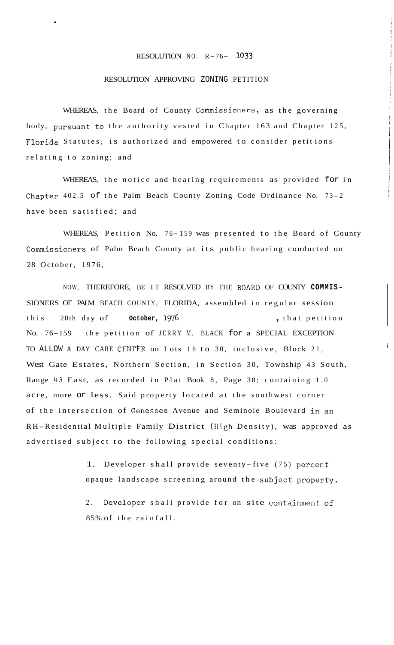## RESOLUTION NO. R- 76- **<sup>1033</sup>**

## RESOLUTION APPROVING ZONING PETITION

.

WHEREAS, the Board of County Commissioners, as the governing body, pursuant'to the authority vested in Chapter 163 and Chapter 125, Florida Statutes, is authorized and empowered to consider petitions relating to zoning; and

WHEREAS, the notice and hearing requirements as provided for in Chapter  $402.5$  of the Palm Beach County Zoning Code Ordinance No. 73-2 have been satisfied; and

WHEREAS, Petition No. 76-159 was presented to the Board of County Commissioners of Palm Beach County at its public hearing conducted on 28 October, 1976,

NOW, THEREFORE, BE IT RESOLVED BY THE BOARD OF COUNTY **COMMIS-**SIONERS OF PALM BEACH COUNTY, FLORIDA, assembled in regular session this 28th day of **October, 1**976 **,** that petition No. 76-159 the petition of JERRY M. BLACK for a SPECIAL EXCEPTION TO ALLOW A DAY CARE CENTER on Lots 16 to 30, inclusive, Block 21, West Gate Estates, Northern Section, in Section 30, Township 43 South, Range 43 East, as recorded in Plat Book 8, Page 38; containing 1.0 acre, more or less. Said property located at the southwest corner of the intersection of Genessee Avenue and Seminole Boulevard in an R H-Residential Multiple Family District (High Density), was approved as advertised subject to the following special conditions:

> 1. Developer shall provide seventy-five (75) percent opaque landscape screening around the subject property.

i

2. Developer shall provide for on site containment of 85% of the rainfall.